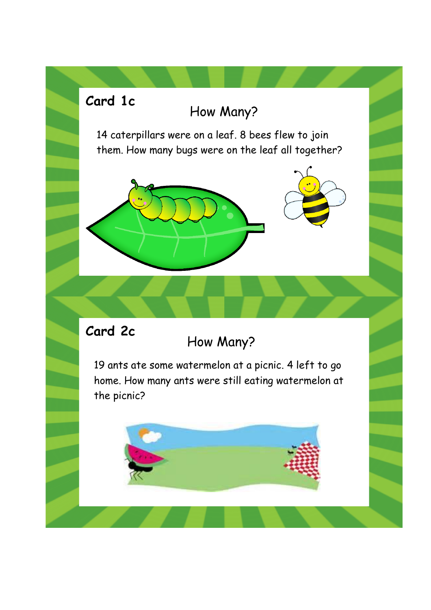## How Many?

14 caterpillars were on a leaf. 8 bees flew to join them. How many bugs were on the leaf all together?





#### **Card 2c**

**Card 1c**

# How Many?

19 ants ate some watermelon at a picnic. 4 left to go home. How many ants were still eating watermelon at the picnic?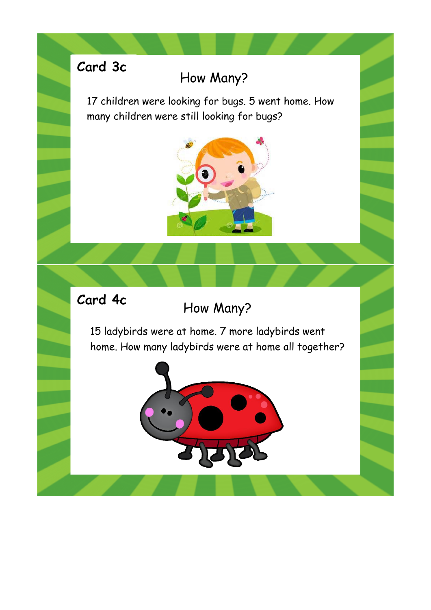# **Card 3c**

## How Many?

17 children were looking for bugs. 5 went home. How many children were still looking for bugs?



#### **Card 4c**

#### How Many?

15 ladybirds were at home. 7 more ladybirds went home. How many ladybirds were at home all together?

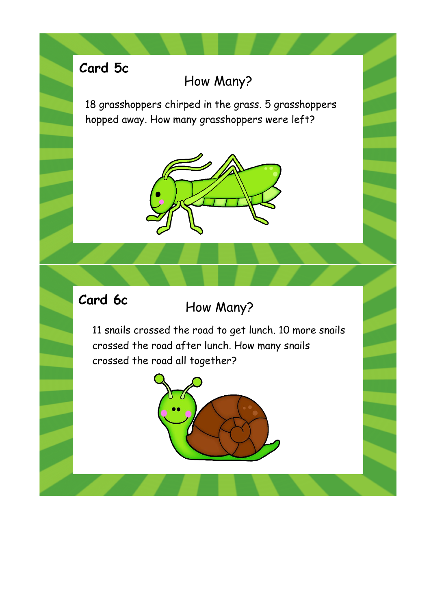# **Card 5c**

#### How Many?

18 grasshoppers chirped in the grass. 5 grasshoppers hopped away. How many grasshoppers were left?



### **Card 6c**

### How Many?

11 snails crossed the road to get lunch. 10 more snails crossed the road after lunch. How many snails crossed the road all together?

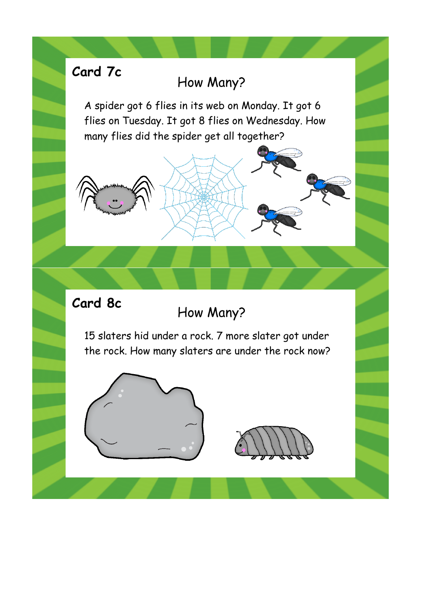# **Card 7c**

#### How Many?

A spider got 6 flies in its web on Monday. It got 6 flies on Tuesday. It got 8 flies on Wednesday. How many flies did the spider get all together?





15 slaters hid under a rock. 7 more slater got under the rock. How many slaters are under the rock now?